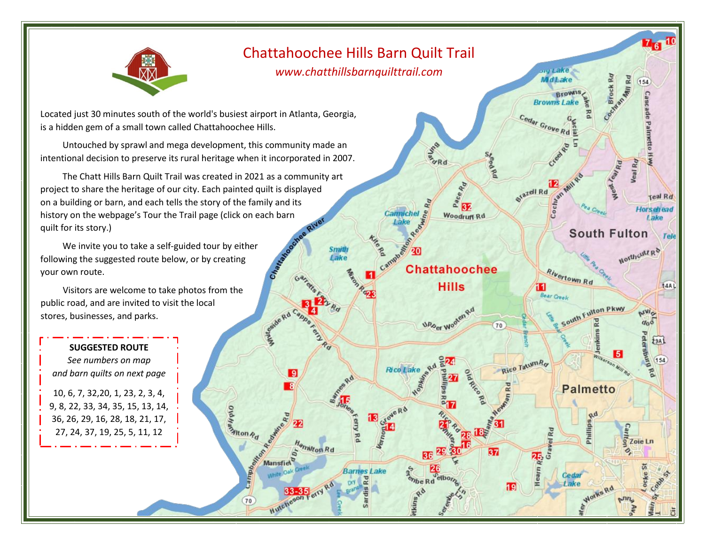